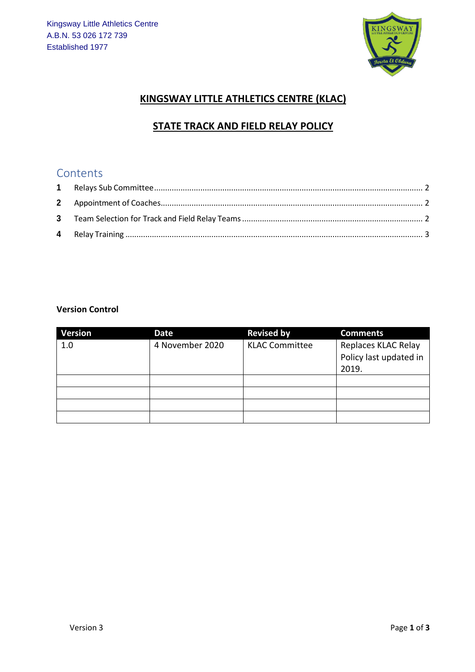

## **KINGSWAY LITTLE ATHLETICS CENTRE (KLAC)**

# **STATE TRACK AND FIELD RELAY POLICY**

# Contents

#### **Version Control**

| <b>Version</b> | Date            | <b>Revised by</b>     | <b>Comments</b>                                        |
|----------------|-----------------|-----------------------|--------------------------------------------------------|
| 1.0            | 4 November 2020 | <b>KLAC Committee</b> | Replaces KLAC Relay<br>Policy last updated in<br>2019. |
|                |                 |                       |                                                        |
|                |                 |                       |                                                        |
|                |                 |                       |                                                        |
|                |                 |                       |                                                        |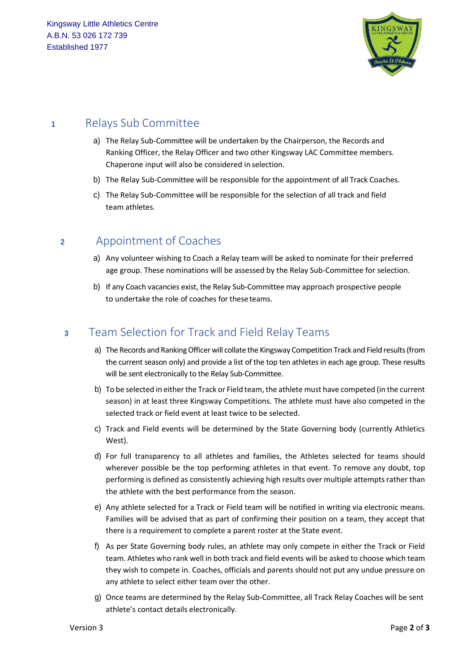

## <span id="page-1-0"></span>**<sup>1</sup>** Relays Sub Committee

- a) The Relay Sub-Committee will be undertaken by the Chairperson, the Records and Ranking Officer, the Relay Officer and two other Kingsway LAC Committee members. Chaperone input will also be considered in selection.
- b) The Relay Sub-Committee will be responsible for the appointment of all Track Coaches.
- c) The Relay Sub-Committee will be responsible for the selection of all track and field team athletes.

## <span id="page-1-1"></span>**<sup>2</sup>** Appointment of Coaches

- a) Any volunteer wishing to Coach a Relay team will be asked to nominate for their preferred age group. These nominations will be assessed by the Relay Sub-Committee for selection.
- b) If any Coach vacancies exist, the Relay Sub-Committee may approach prospective people to undertake the role of coaches for theseteams.

# <span id="page-1-2"></span>**<sup>3</sup>** Team Selection for Track and Field Relay Teams

- a) The Records and Ranking Officer will collate the Kingsway Competition Track and Field results (from the current season only) and provide a list of the top ten athletes in each age group. These results will be sent electronically to the Relay Sub-Committee.
- b) To be selected in either the Track or Field team, the athlete must have competed (in the current season) in at least three Kingsway Competitions. The athlete must have also competed in the selected track or field event at least twice to be selected.
- c) Track and Field events will be determined by the State Governing body (currently Athletics West).
- d) For full transparency to all athletes and families, the Athletes selected for teams should wherever possible be the top performing athletes in that event. To remove any doubt, top performing is defined as consistently achieving high results over multiple attempts rather than the athlete with the best performance from the season.
- e) Any athlete selected for a Track or Field team will be notified in writing via electronic means. Families will be advised that as part of confirming their position on a team, they accept that there is a requirement to complete a parent roster at the State event.
- f) As per State Governing body rules, an athlete may only compete in either the Track or Field team. Athletes who rank well in both track and field events will be asked to choose which team they wish to compete in. Coaches, officials and parents should not put any undue pressure on any athlete to select either team over the other.
- g) Once teams are determined by the Relay Sub-Committee, all Track Relay Coaches will be sent athlete's contact details electronically.